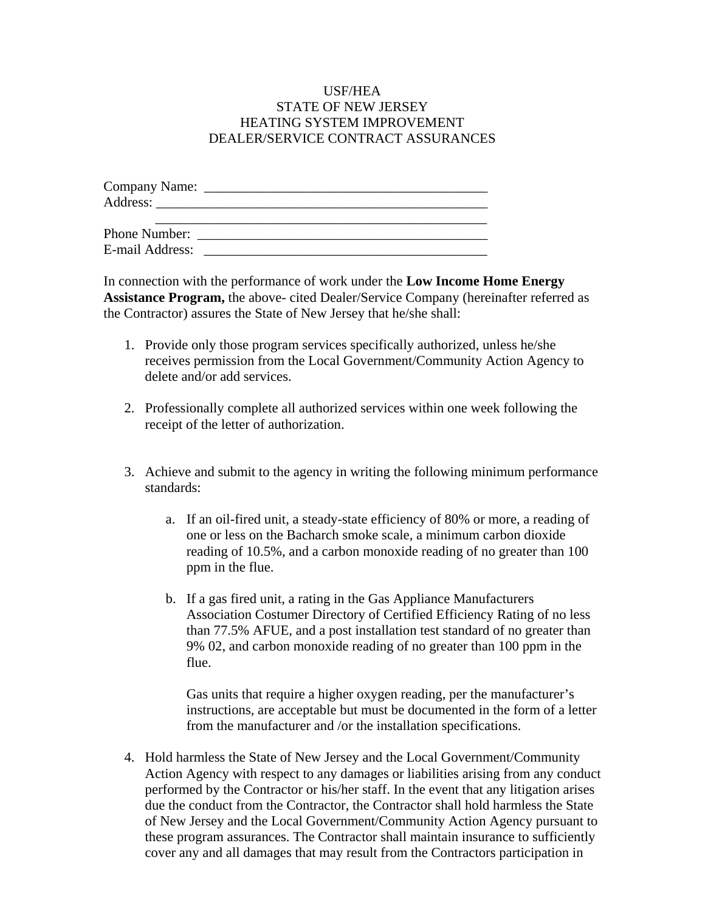## USF/HEA STATE OF NEW JERSEY HEATING SYSTEM IMPROVEMENT DEALER/SERVICE CONTRACT ASSURANCES

| Company Name:   |  |
|-----------------|--|
|                 |  |
|                 |  |
|                 |  |
| E-mail Address: |  |

In connection with the performance of work under the **Low Income Home Energy Assistance Program,** the above- cited Dealer/Service Company (hereinafter referred as the Contractor) assures the State of New Jersey that he/she shall:

- 1. Provide only those program services specifically authorized, unless he/she receives permission from the Local Government/Community Action Agency to delete and/or add services.
- 2. Professionally complete all authorized services within one week following the receipt of the letter of authorization.
- 3. Achieve and submit to the agency in writing the following minimum performance standards:
	- a. If an oil-fired unit, a steady-state efficiency of 80% or more, a reading of one or less on the Bacharch smoke scale, a minimum carbon dioxide reading of 10.5%, and a carbon monoxide reading of no greater than 100 ppm in the flue.
	- b. If a gas fired unit, a rating in the Gas Appliance Manufacturers Association Costumer Directory of Certified Efficiency Rating of no less than 77.5% AFUE, and a post installation test standard of no greater than 9% 02, and carbon monoxide reading of no greater than 100 ppm in the flue.

Gas units that require a higher oxygen reading, per the manufacturer's instructions, are acceptable but must be documented in the form of a letter from the manufacturer and /or the installation specifications.

4. Hold harmless the State of New Jersey and the Local Government/Community Action Agency with respect to any damages or liabilities arising from any conduct performed by the Contractor or his/her staff. In the event that any litigation arises due the conduct from the Contractor, the Contractor shall hold harmless the State of New Jersey and the Local Government/Community Action Agency pursuant to these program assurances. The Contractor shall maintain insurance to sufficiently cover any and all damages that may result from the Contractors participation in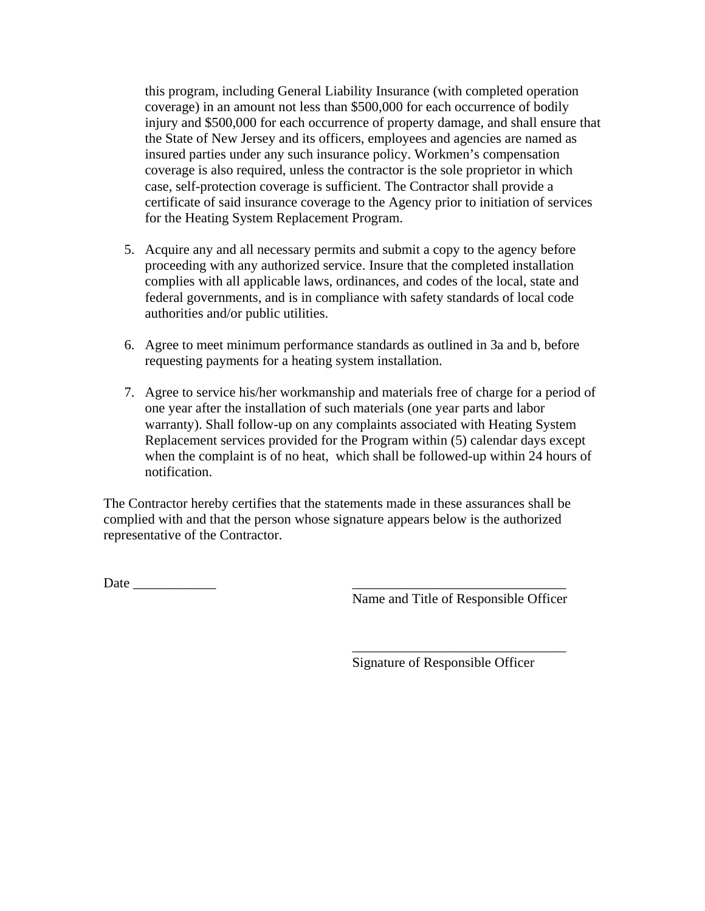this program, including General Liability Insurance (with completed operation coverage) in an amount not less than \$500,000 for each occurrence of bodily injury and \$500,000 for each occurrence of property damage, and shall ensure that the State of New Jersey and its officers, employees and agencies are named as insured parties under any such insurance policy. Workmen's compensation coverage is also required, unless the contractor is the sole proprietor in which case, self-protection coverage is sufficient. The Contractor shall provide a certificate of said insurance coverage to the Agency prior to initiation of services for the Heating System Replacement Program.

- 5. Acquire any and all necessary permits and submit a copy to the agency before proceeding with any authorized service. Insure that the completed installation complies with all applicable laws, ordinances, and codes of the local, state and federal governments, and is in compliance with safety standards of local code authorities and/or public utilities.
- 6. Agree to meet minimum performance standards as outlined in 3a and b, before requesting payments for a heating system installation.
- 7. Agree to service his/her workmanship and materials free of charge for a period of one year after the installation of such materials (one year parts and labor warranty). Shall follow-up on any complaints associated with Heating System Replacement services provided for the Program within (5) calendar days except when the complaint is of no heat, which shall be followed-up within 24 hours of notification.

The Contractor hereby certifies that the statements made in these assurances shall be complied with and that the person whose signature appears below is the authorized representative of the Contractor.

 $\overline{\phantom{a}}$  , and the contract of the contract of the contract of the contract of the contract of the contract of the contract of the contract of the contract of the contract of the contract of the contract of the contrac

Date  $\Box$ 

Name and Title of Responsible Officer

Signature of Responsible Officer